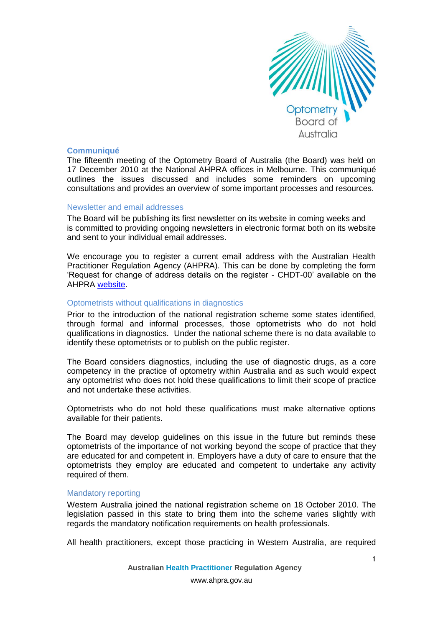

## **Communiqué**

The fifteenth meeting of the Optometry Board of Australia (the Board) was held on 17 December 2010 at the National AHPRA offices in Melbourne. This communiqué outlines the issues discussed and includes some reminders on upcoming consultations and provides an overview of some important processes and resources.

### Newsletter and email addresses

The Board will be publishing its first newsletter on its website in coming weeks and is committed to providing ongoing newsletters in electronic format both on its website and sent to your individual email addresses.

We encourage you to register a current email address with the Australian Health Practitioner Regulation Agency (AHPRA). This can be done by completing the form 'Request for change of address details on the register - CHDT-00' available on the AHPRA [website.](http://www.ahpra.gov.au/Registration/Registration-Process/Common-Application-Forms.aspx)

## Optometrists without qualifications in diagnostics

Prior to the introduction of the national registration scheme some states identified, through formal and informal processes, those optometrists who do not hold qualifications in diagnostics. Under the national scheme there is no data available to identify these optometrists or to publish on the public register.

The Board considers diagnostics, including the use of diagnostic drugs, as a core competency in the practice of optometry within Australia and as such would expect any optometrist who does not hold these qualifications to limit their scope of practice and not undertake these activities.

Optometrists who do not hold these qualifications must make alternative options available for their patients.

The Board may develop guidelines on this issue in the future but reminds these optometrists of the importance of not working beyond the scope of practice that they are educated for and competent in. Employers have a duty of care to ensure that the optometrists they employ are educated and competent to undertake any activity required of them.

## Mandatory reporting

Western Australia joined the national registration scheme on 18 October 2010. The legislation passed in this state to bring them into the scheme varies slightly with regards the mandatory notification requirements on health professionals.

All health practitioners, except those practicing in Western Australia, are required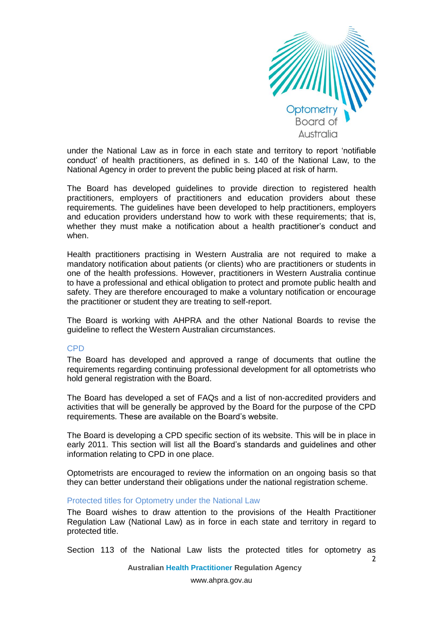

2

under the National Law as in force in each state and territory to report 'notifiable conduct' of health practitioners, as defined in s. 140 of the National Law, to the National Agency in order to prevent the public being placed at risk of harm.

The Board has developed guidelines to provide direction to registered health practitioners, employers of practitioners and education providers about these requirements. The guidelines have been developed to help practitioners, employers and education providers understand how to work with these requirements; that is, whether they must make a notification about a health practitioner's conduct and when.

Health practitioners practising in Western Australia are not required to make a mandatory notification about patients (or clients) who are practitioners or students in one of the health professions. However, practitioners in Western Australia continue to have a professional and ethical obligation to protect and promote public health and safety. They are therefore encouraged to make a voluntary notification or encourage the practitioner or student they are treating to self-report.

The Board is working with AHPRA and the other National Boards to revise the guideline to reflect the Western Australian circumstances.

## CPD

The Board has developed and approved a range of documents that outline the requirements regarding continuing professional development for all optometrists who hold general registration with the Board.

The Board has developed a set of FAQs and a list of non-accredited providers and activities that will be generally be approved by the Board for the purpose of the CPD requirements. These are available on the Board's website.

The Board is developing a CPD specific section of its website. This will be in place in early 2011. This section will list all the Board's standards and guidelines and other information relating to CPD in one place.

Optometrists are encouraged to review the information on an ongoing basis so that they can better understand their obligations under the national registration scheme.

### Protected titles for Optometry under the National Law

The Board wishes to draw attention to the provisions of the Health Practitioner Regulation Law (National Law) as in force in each state and territory in regard to protected title.

Section 113 of the National Law lists the protected titles for optometry as

**Australian Health Practitioner Regulation Agency**

www.ahpra.gov.au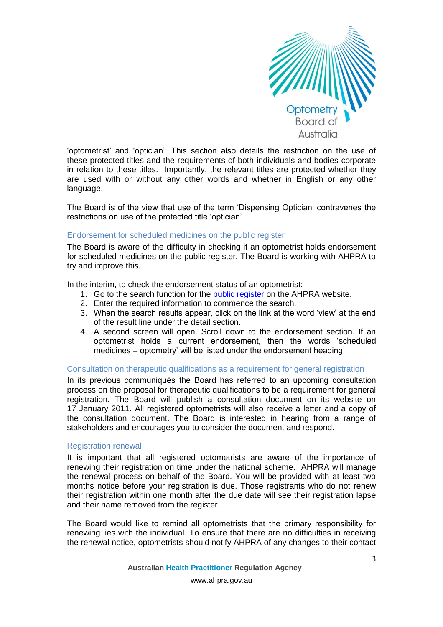

'optometrist' and 'optician'. This section also details the restriction on the use of these protected titles and the requirements of both individuals and bodies corporate in relation to these titles. Importantly, the relevant titles are protected whether they are used with or without any other words and whether in English or any other language.

The Board is of the view that use of the term 'Dispensing Optician' contravenes the restrictions on use of the protected title 'optician'.

### Endorsement for scheduled medicines on the public register

The Board is aware of the difficulty in checking if an optometrist holds endorsement for scheduled medicines on the public register. The Board is working with AHPRA to try and improve this.

In the interim, to check the endorsement status of an optometrist:

- 1. Go to the search function for the [public register](http://www.ahpra.gov.au/Registration/Registers-of-Practitioners.aspx) on the AHPRA website.
- 2. Enter the required information to commence the search.
- 3. When the search results appear, click on the link at the word 'view' at the end of the result line under the detail section.
- 4. A second screen will open. Scroll down to the endorsement section. If an optometrist holds a current endorsement, then the words 'scheduled medicines – optometry' will be listed under the endorsement heading.

#### Consultation on therapeutic qualifications as a requirement for general registration

In its previous communiqués the Board has referred to an upcoming consultation process on the proposal for therapeutic qualifications to be a requirement for general registration. The Board will publish a consultation document on its website on 17 January 2011. All registered optometrists will also receive a letter and a copy of the consultation document. The Board is interested in hearing from a range of stakeholders and encourages you to consider the document and respond.

## Registration renewal

It is important that all registered optometrists are aware of the importance of renewing their registration on time under the national scheme. AHPRA will manage the renewal process on behalf of the Board. You will be provided with at least two months notice before your registration is due. Those registrants who do not renew their registration within one month after the due date will see their registration lapse and their name removed from the register.

The Board would like to remind all optometrists that the primary responsibility for renewing lies with the individual. To ensure that there are no difficulties in receiving the renewal notice, optometrists should notify AHPRA of any changes to their contact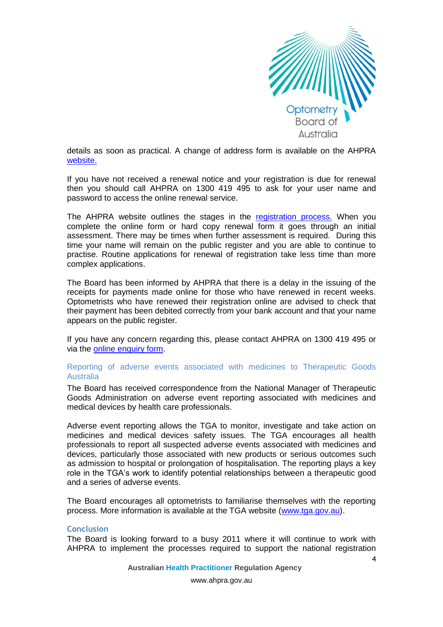

details as soon as practical. A change of address form is available on the AHPRA [website.](http://www.ahpra.gov.au/Registration/Registration-Process/Common-Application-Forms.aspx)

If you have not received a renewal notice and your registration is due for renewal then you should call AHPRA on 1300 419 495 to ask for your user name and password to access the online renewal service.

The AHPRA website outlines the stages in the [registration process.](http://www.ahpra.gov.au/Registration/Registration-Process.aspx) When you complete the online form or hard copy renewal form it goes through an initial assessment. There may be times when further assessment is required. During this time your name will remain on the public register and you are able to continue to practise. Routine applications for renewal of registration take less time than more complex applications.

The Board has been informed by AHPRA that there is a delay in the issuing of the receipts for payments made online for those who have renewed in recent weeks. Optometrists who have renewed their registration online are advised to check that their payment has been debited correctly from your bank account and that your name appears on the public register.

If you have any concern regarding this, please contact AHPRA on 1300 419 495 or via the [online enquiry form.](http://www.ahpra.gov.au/About-AHPRA/Contact-Us.aspx)

# Reporting of adverse events associated with medicines to Therapeutic Goods **Australia**

The Board has received correspondence from the National Manager of Therapeutic Goods Administration on adverse event reporting associated with medicines and medical devices by health care professionals.

Adverse event reporting allows the TGA to monitor, investigate and take action on medicines and medical devices safety issues. The TGA encourages all health professionals to report all suspected adverse events associated with medicines and devices, particularly those associated with new products or serious outcomes such as admission to hospital or prolongation of hospitalisation. The reporting plays a key role in the TGA's work to identify potential relationships between a therapeutic good and a series of adverse events.

The Board encourages all optometrists to familiarise themselves with the reporting process. More information is available at the TGA website [\(www.tga.gov.au\)](http://www.tga.gov.au/).

## **Conclusion**

The Board is looking forward to a busy 2011 where it will continue to work with AHPRA to implement the processes required to support the national registration

**Australian Health Practitioner Regulation Agency**

www.ahpra.gov.au